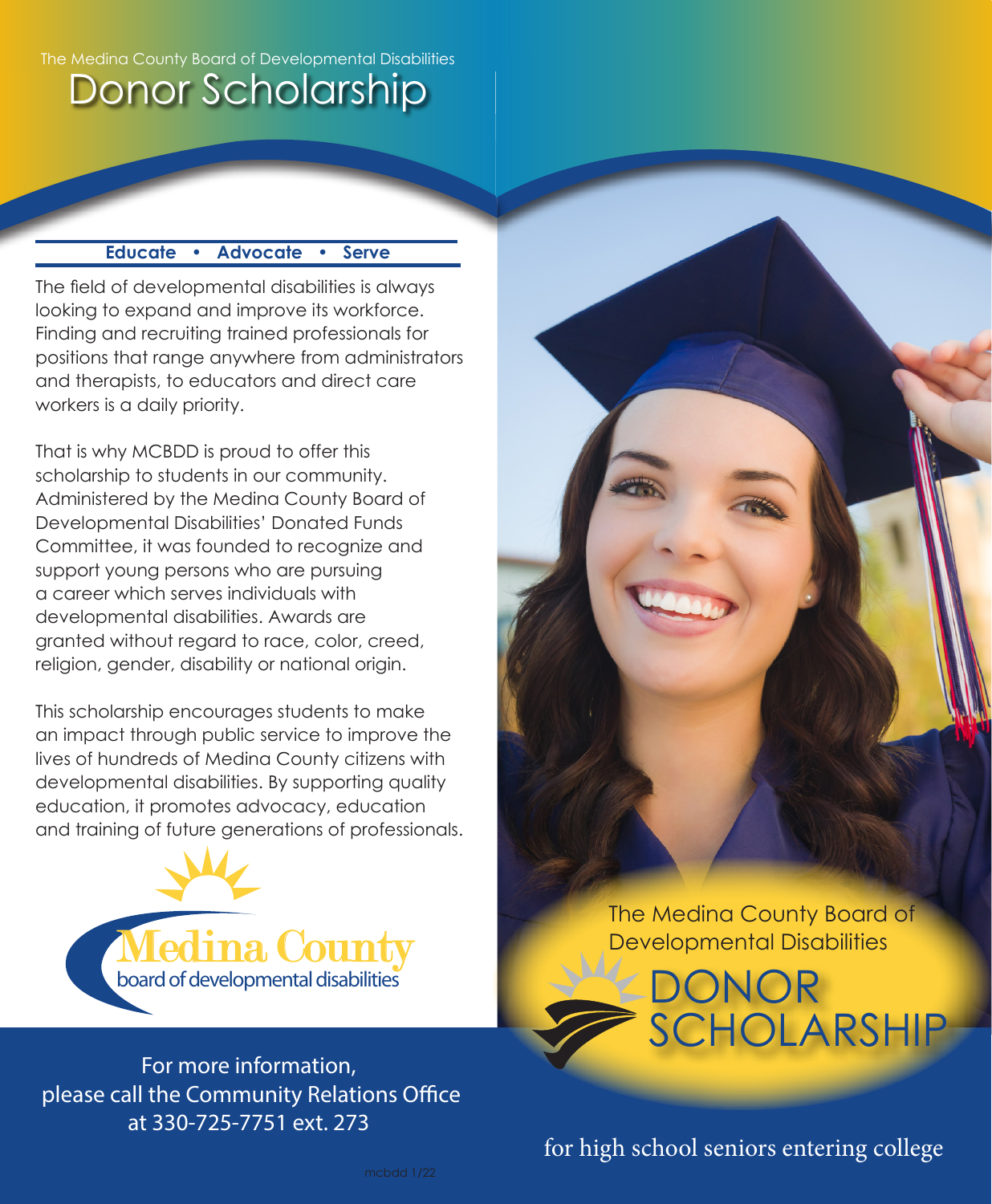#### The Medina County Board of Developmental Disabilities

# Donor Scholarship

### **Educate • Advocate • Serve**

The field of developmental disabilities is always looking to expand and improve its workforce. Finding and recruiting trained professionals for positions that range anywhere from administrators and therapists, to educators and direct care workers is a daily priority.

That is why MCBDD is proud to offer this scholarship to students in our community. Administered by the Medina County Board of Developmental Disabilities' Donated Funds Committee, it was founded to recognize and support young persons who are pursuing a career which serves individuals with developmental disabilities. Awards are granted without regard to race, color, creed, religion, gender, disability or national origin.

This scholarship encourages students to make an impact through public service to improve the lives of hundreds of Medina County citizens with developmental disabilities. By supporting quality education, it promotes advocacy, education and training of future generations of professionals.



For more information, please call the Community Relations Office at 330-725-7751 ext. 273

The Medina County Board of Developmental Disabilities

**Y-DONOR**  $\sum$ 

SCHOLARSHIP

for high school seniors entering college